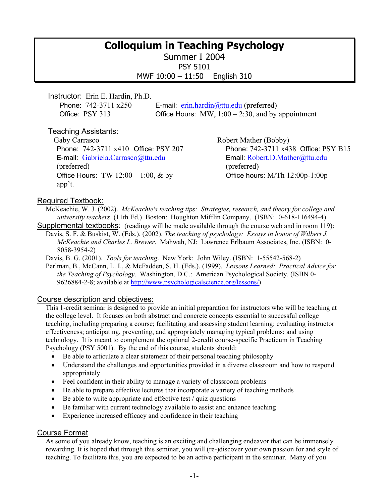# **Colloquium in Teaching Psychology**

Summer I 2004

PSY 5101

MWF 10:00 – 11:50 English 310

Instructor:Erin E. Hardin, Ph.D. Phone: 742-3711 x250 E-mail: erin.hardin@ttu.edu (preferred) Office: PSY 313 Office Hours: MW, 1:00 – 2:30, and by appointment

# Teaching Assistants:

Gaby Carrasco Phone: 742-3711 x410 Office: PSY 207 E-mail: Gabriela.Carrasco@ttu.edu (preferred) Office Hours: TW  $12:00 - 1:00$ , & by app't.

Robert Mather (Bobby) Phone: 742-3711 x438 Office: PSY B15 Email: Robert.D.Mather@ttu.edu (preferred) Office hours: M/Th 12:00p-1:00p

# Required Textbook:

McKeachie, W. J. (2002). *McKeachie's teaching tips: Strategies, research, and theory for college and university teachers*. (11th Ed.) Boston: Houghton Mifflin Company. (ISBN: 0-618-116494-4)

Supplemental textbooks: (readings will be made available through the course web and in room 119): Davis, S. F. & Buskist, W. (Eds.). (2002). *The teaching of psychology: Essays in honor of Wilbert J. McKeachie and Charles L. Brewer*. Mahwah, NJ: Lawrence Erlbaum Associates, Inc. (ISBN: 0- 8058-3954-2)

Davis, B. G. (2001). *Tools for teaching*. New York: John Wiley. (ISBN: 1-55542-568-2)

Perlman, B., McCann, L. I., & McFadden, S. H. (Eds.). (1999). *Lessons Learned: Practical Advice for the Teaching of Psychology*. Washington, D.C.: American Psychological Society. (ISBN 0- 9626884-2-8; available at http://www.psychologicalscience.org/lessons/)

### Course description and objectives:

This 1-credit seminar is designed to provide an initial preparation for instructors who will be teaching at the college level. It focuses on both abstract and concrete concepts essential to successful college teaching, including preparing a course; facilitating and assessing student learning; evaluating instructor effectiveness; anticipating, preventing, and appropriately managing typical problems; and using technology. It is meant to complement the optional 2-credit course-specific Practicum in Teaching Psychology (PSY 5001). By the end of this course, students should:

- Be able to articulate a clear statement of their personal teaching philosophy
- Understand the challenges and opportunities provided in a diverse classroom and how to respond appropriately
- Feel confident in their ability to manage a variety of classroom problems
- Be able to prepare effective lectures that incorporate a variety of teaching methods
- Be able to write appropriate and effective test / quiz questions
- Be familiar with current technology available to assist and enhance teaching
- Experience increased efficacy and confidence in their teaching

### Course Format

As some of you already know, teaching is an exciting and challenging endeavor that can be immensely rewarding. It is hoped that through this seminar, you will (re-)discover your own passion for and style of teaching. To facilitate this, you are expected to be an active participant in the seminar. Many of you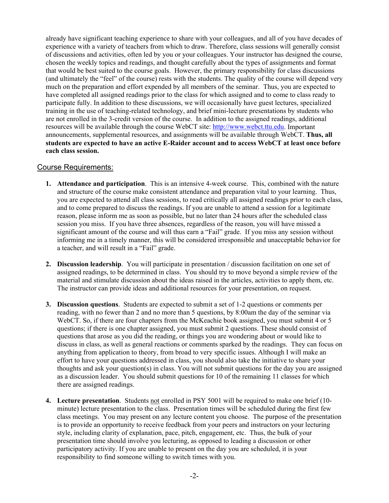already have significant teaching experience to share with your colleagues, and all of you have decades of experience with a variety of teachers from which to draw. Therefore, class sessions will generally consist of discussions and activities, often led by you or your colleagues. Your instructor has designed the course, chosen the weekly topics and readings, and thought carefully about the types of assignments and format that would be best suited to the course goals. However, the primary responsibility for class discussions (and ultimately the "feel" of the course) rests with the students. The quality of the course will depend very much on the preparation and effort expended by all members of the seminar. Thus, you are expected to have completed all assigned readings prior to the class for which assigned and to come to class ready to participate fully. In addition to these discussions, we will occasionally have guest lectures, specialized training in the use of teaching-related technology, and brief mini-lecture presentations by students who are not enrolled in the 3-credit version of the course. In addition to the assigned readings, additional resources will be available through the course WebCT site: http://www.webct.ttu.edu. Important announcements, supplemental resources, and assignments will be available through WebCT. **Thus, all students are expected to have an active E-Raider account and to access WebCT at least once before each class session.** 

## Course Requirements:

- **1. Attendance and participation**. This is an intensive 4-week course. This, combined with the nature and structure of the course make consistent attendance and preparation vital to your learning. Thus, you are expected to attend all class sessions, to read critically all assigned readings prior to each class, and to come prepared to discuss the readings. If you are unable to attend a session for a legitimate reason, please inform me as soon as possible, but no later than 24 hours after the scheduled class session you miss. If you have three absences, regardless of the reason, you will have missed a significant amount of the course and will thus earn a "Fail" grade. If you miss any session without informing me in a timely manner, this will be considered irresponsible and unacceptable behavior for a teacher, and will result in a "Fail" grade.
- **2. Discussion leadership**. You will participate in presentation / discussion facilitation on one set of assigned readings, to be determined in class. You should try to move beyond a simple review of the material and stimulate discussion about the ideas raised in the articles, activities to apply them, etc. The instructor can provide ideas and additional resources for your presentation, on request.
- **3. Discussion questions**. Students are expected to submit a set of 1-2 questions or comments per reading, with no fewer than 2 and no more than 5 questions, by 8:00am the day of the seminar via WebCT. So, if there are four chapters from the McKeachie book assigned, you must submit 4 or 5 questions; if there is one chapter assigned, you must submit 2 questions. These should consist of questions that arose as you did the reading, or things you are wondering about or would like to discuss in class, as well as general reactions or comments sparked by the readings. They can focus on anything from application to theory, from broad to very specific issues. Although I will make an effort to have your questions addressed in class, you should also take the initiative to share your thoughts and ask your question(s) in class. You will not submit questions for the day you are assigned as a discussion leader. You should submit questions for 10 of the remaining 11 classes for which there are assigned readings.
- **4. Lecture presentation**. Students not enrolled in PSY 5001 will be required to make one brief (10 minute) lecture presentation to the class. Presentation times will be scheduled during the first few class meetings. You may present on any lecture content you choose. The purpose of the presentation is to provide an opportunity to receive feedback from your peers and instructors on your lecturing style, including clarity of explanation, pace, pitch, engagement, etc. Thus, the bulk of your presentation time should involve you lecturing, as opposed to leading a discussion or other participatory activity. If you are unable to present on the day you are scheduled, it is your responsibility to find someone willing to switch times with you.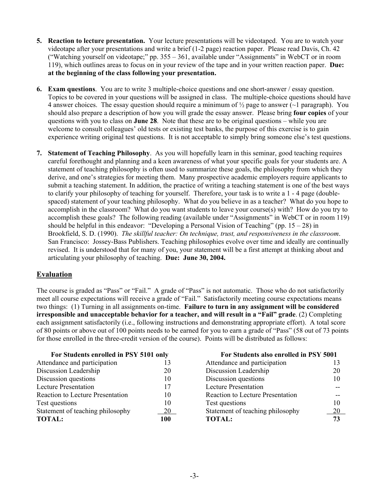- **5. Reaction to lecture presentation.** Your lecture presentations will be videotaped. You are to watch your videotape after your presentations and write a brief (1-2 page) reaction paper. Please read Davis, Ch. 42 ("Watching yourself on videotape;" pp. 355 – 361, available under "Assignments" in WebCT or in room 119), which outlines areas to focus on in your review of the tape and in your written reaction paper. **Due: at the beginning of the class following your presentation.**
- **6. Exam questions**. You are to write 3 multiple-choice questions and one short-answer / essay question. Topics to be covered in your questions will be assigned in class. The multiple-choice questions should have 4 answer choices. The essay question should require a minimum of  $\frac{1}{2}$  page to answer (~1 paragraph). You should also prepare a description of how you will grade the essay answer. Please bring **four copies** of your questions with you to class on **June 28**. Note that these are to be original questions – while you are welcome to consult colleagues' old tests or existing test banks, the purpose of this exercise is to gain experience writing original test questions. It is not acceptable to simply bring someone else's test questions.
- **7. Statement of Teaching Philosophy**. As you will hopefully learn in this seminar, good teaching requires careful forethought and planning and a keen awareness of what your specific goals for your students are. A statement of teaching philosophy is often used to summarize these goals, the philosophy from which they derive, and one's strategies for meeting them. Many prospective academic employers require applicants to submit a teaching statement. In addition, the practice of writing a teaching statement is one of the best ways to clarify your philosophy of teaching for yourself. Therefore, your task is to write a 1 - 4 page (doublespaced) statement of your teaching philosophy. What do you believe in as a teacher? What do you hope to accomplish in the classroom? What do you want students to leave your course(s) with? How do you try to accomplish these goals? The following reading (available under "Assignments" in WebCT or in room 119) should be helpful in this endeavor: "Developing a Personal Vision of Teaching" (pp. 15 – 28) in Brookfield, S. D. (1990). *The skillful teacher: On technique, trust, and responsiveness in the classroom*. San Francisco: Jossey-Bass Publishers. Teaching philosophies evolve over time and ideally are continually revised. It is understood that for many of you, your statement will be a first attempt at thinking about and articulating your philosophy of teaching. **Due: June 30, 2004.**

## **Evaluation**

The course is graded as "Pass" or "Fail." A grade of "Pass" is not automatic. Those who do not satisfactorily meet all course expectations will receive a grade of "Fail." Satisfactorily meeting course expectations means two things: (1) Turning in all assignments on-time. **Failure to turn in any assignment will be considered irresponsible and unacceptable behavior for a teacher, and will result in a "Fail" grade**. (2) Completing each assignment satisfactorily (i.e., following instructions and demonstrating appropriate effort). A total score of 80 points or above out of 100 points needs to be earned for you to earn a grade of "Pass" (58 out of 73 points for those enrolled in the three-credit version of the course). Points will be distributed as follows:

| For Students enrolled in PSY 5101 only  |     |
|-----------------------------------------|-----|
| Attendance and participation            | 13  |
| Discussion Leadership                   | 20  |
| Discussion questions                    | 10  |
| <b>Lecture Presentation</b>             | 17  |
| <b>Reaction to Lecture Presentation</b> | 10  |
| Test questions                          | 10  |
| Statement of teaching philosophy        | 20  |
| <b>TOTAL:</b>                           | 100 |

| For Students also enrolled in PSY 5001  |    |
|-----------------------------------------|----|
| Attendance and participation            | 13 |
| Discussion Leadership                   | 20 |
| Discussion questions                    | 10 |
| <b>Lecture Presentation</b>             |    |
| <b>Reaction to Lecture Presentation</b> |    |
| Test questions                          | 10 |
| Statement of teaching philosophy        | 20 |
| <b>TOTAL:</b>                           | 73 |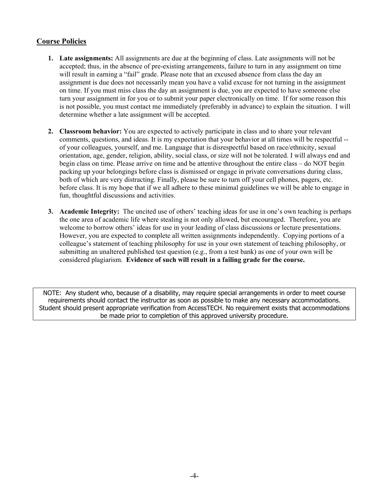## **Course Policies**

- **1. Late assignments:** All assignments are due at the beginning of class. Late assignments will not be accepted; thus, in the absence of pre-existing arrangements, failure to turn in any assignment on time will result in earning a "fail" grade. Please note that an excused absence from class the day an assignment is due does not necessarily mean you have a valid excuse for not turning in the assignment on time. If you must miss class the day an assignment is due, you are expected to have someone else turn your assignment in for you or to submit your paper electronically on time. If for some reason this is not possible, you must contact me immediately (preferably in advance) to explain the situation. I will determine whether a late assignment will be accepted.
- **2. Classroom behavior:** You are expected to actively participate in class and to share your relevant comments, questions, and ideas. It is my expectation that your behavior at all times will be respectful - of your colleagues, yourself, and me. Language that is disrespectful based on race/ethnicity, sexual orientation, age, gender, religion, ability, social class, or size will not be tolerated. I will always end and begin class on time. Please arrive on time and be attentive throughout the entire class – do NOT begin packing up your belongings before class is dismissed or engage in private conversations during class, both of which are very distracting. Finally, please be sure to turn off your cell phones, pagers, etc. before class. It is my hope that if we all adhere to these minimal guidelines we will be able to engage in fun, thoughtful discussions and activities.
- **3. Academic Integrity:** The uncited use of others' teaching ideas for use in one's own teaching is perhaps the one area of academic life where stealing is not only allowed, but encouraged. Therefore, you are welcome to borrow others' ideas for use in your leading of class discussions or lecture presentations. However, you are expected to complete all written assignments independently. Copying portions of a colleague's statement of teaching philosophy for use in your own statement of teaching philosophy, or submitting an unaltered published test question (e.g., from a test bank) as one of your own will be considered plagiarism. **Evidence of such will result in a failing grade for the course.**

NOTE: Any student who, because of a disability, may require special arrangements in order to meet course requirements should contact the instructor as soon as possible to make any necessary accommodations. Student should present appropriate verification from AccessTECH. No requirement exists that accommodations be made prior to completion of this approved university procedure.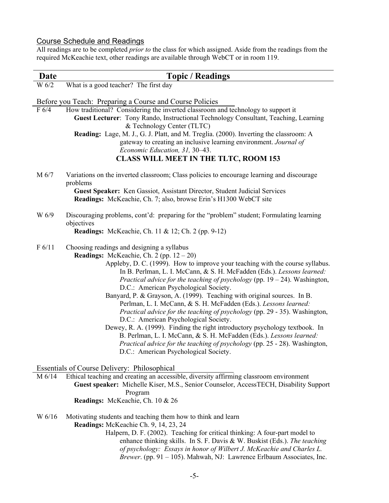# Course Schedule and Readings

All readings are to be completed *prior to* the class for which assigned. Aside from the readings from the required McKeachie text, other readings are available through WebCT or in room 119.

| <b>Date</b>                                                       | <b>Topic / Readings</b>                                                                               |  |  |
|-------------------------------------------------------------------|-------------------------------------------------------------------------------------------------------|--|--|
| W 6/2                                                             | What is a good teacher? The first day                                                                 |  |  |
|                                                                   |                                                                                                       |  |  |
|                                                                   | Before you Teach: Preparing a Course and Course Policies                                              |  |  |
| F 6/4                                                             | How traditional? Considering the inverted classroom and technology to support it                      |  |  |
|                                                                   | Guest Lecturer: Tony Rando, Instructional Technology Consultant, Teaching, Learning                   |  |  |
|                                                                   | & Technology Center (TLTC)                                                                            |  |  |
|                                                                   | Reading: Lage, M. J., G. J. Platt, and M. Treglia. (2000). Inverting the classroom: A                 |  |  |
| gateway to creating an inclusive learning environment. Journal of |                                                                                                       |  |  |
|                                                                   | Economic Education, 31, 30-43.                                                                        |  |  |
| <b>CLASS WILL MEET IN THE TLTC, ROOM 153</b>                      |                                                                                                       |  |  |
| M 6/7                                                             | Variations on the inverted classroom; Class policies to encourage learning and discourage<br>problems |  |  |
|                                                                   | Guest Speaker: Ken Gassiot, Assistant Director, Student Judicial Services                             |  |  |
|                                                                   | Readings: McKeachie, Ch. 7; also, browse Erin's H1300 WebCT site                                      |  |  |
|                                                                   |                                                                                                       |  |  |
| W 6/9                                                             | Discouraging problems, cont'd: preparing for the "problem" student; Formulating learning              |  |  |
|                                                                   | objectives                                                                                            |  |  |
|                                                                   | <b>Readings:</b> McKeachie, Ch. 11 & 12; Ch. 2 (pp. 9-12)                                             |  |  |
| F 6/11                                                            | Choosing readings and designing a syllabus                                                            |  |  |
|                                                                   | <b>Readings:</b> McKeachie, Ch. 2 (pp. $12-20$ )                                                      |  |  |
|                                                                   | Appleby, D. C. (1999). How to improve your teaching with the course syllabus.                         |  |  |
|                                                                   | In B. Perlman, L. I. McCann, & S. H. McFadden (Eds.). Lessons learned:                                |  |  |
|                                                                   | <i>Practical advice for the teaching of psychology</i> (pp. $19 - 24$ ). Washington,                  |  |  |
|                                                                   | D.C.: American Psychological Society.                                                                 |  |  |
|                                                                   | Banyard, P. & Grayson, A. (1999). Teaching with original sources. In B.                               |  |  |
|                                                                   | Perlman, L. I. McCann, & S. H. McFadden (Eds.). Lessons learned:                                      |  |  |
|                                                                   | Practical advice for the teaching of psychology (pp. 29 - 35). Washington,                            |  |  |
|                                                                   | D.C.: American Psychological Society.                                                                 |  |  |
|                                                                   | Dewey, R. A. (1999). Finding the right introductory psychology textbook. In                           |  |  |
|                                                                   | B. Perlman, L. I. McCann, & S. H. McFadden (Eds.). Lessons learned:                                   |  |  |
|                                                                   | Practical advice for the teaching of psychology (pp. 25 - 28). Washington,                            |  |  |
|                                                                   | D.C.: American Psychological Society.                                                                 |  |  |
|                                                                   | Essentials of Course Delivery: Philosophical                                                          |  |  |
| M 6/14                                                            | Ethical teaching and creating an accessible, diversity affirming classroom environment                |  |  |
|                                                                   | Guest speaker: Michelle Kiser, M.S., Senior Counselor, AccessTECH, Disability Support                 |  |  |

Program

**Readings:** McKeachie, Ch. 10 & 26

W 6/16 Motivating students and teaching them how to think and learn

**Readings:** McKeachie Ch. 9, 14, 23, 24

Halpern, D. F. (2002). Teaching for critical thinking: A four-part model to enhance thinking skills. In S. F. Davis & W. Buskist (Eds.). *The teaching of psychology: Essays in honor of Wilbert J. McKeachie and Charles L. Brewer*. (pp. 91 – 105). Mahwah, NJ: Lawrence Erlbaum Associates, Inc.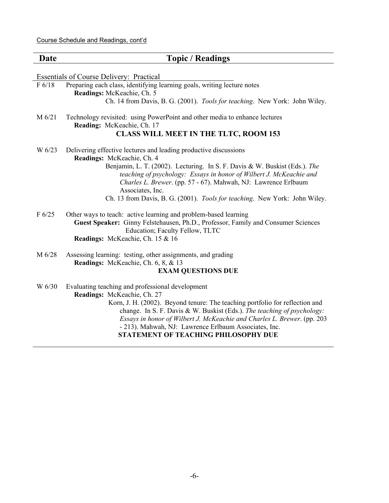| Date   | <b>Topic</b> / Readings                                                                                                                                                                                                                                                                                                                                                                                                 |
|--------|-------------------------------------------------------------------------------------------------------------------------------------------------------------------------------------------------------------------------------------------------------------------------------------------------------------------------------------------------------------------------------------------------------------------------|
|        | <b>Essentials of Course Delivery: Practical</b>                                                                                                                                                                                                                                                                                                                                                                         |
| F 6/18 | Preparing each class, identifying learning goals, writing lecture notes<br>Readings: McKeachie, Ch. 5<br>Ch. 14 from Davis, B. G. (2001). Tools for teaching. New York: John Wiley.                                                                                                                                                                                                                                     |
| M 6/21 | Technology revisited: using PowerPoint and other media to enhance lectures<br>Reading: McKeachie, Ch. 17<br><b>CLASS WILL MEET IN THE TLTC, ROOM 153</b>                                                                                                                                                                                                                                                                |
| W 6/23 | Delivering effective lectures and leading productive discussions<br>Readings: McKeachie, Ch. 4<br>Benjamin, L. T. (2002). Lecturing. In S. F. Davis & W. Buskist (Eds.). The<br>teaching of psychology: Essays in honor of Wilbert J. McKeachie and<br>Charles L. Brewer. (pp. 57 - 67). Mahwah, NJ: Lawrence Erlbaum<br>Associates, Inc.<br>Ch. 13 from Davis, B. G. (2001). Tools for teaching. New York: John Wiley. |
| F 6/25 | Other ways to teach: active learning and problem-based learning<br>Guest Speaker: Ginny Felstehausen, Ph.D., Professor, Family and Consumer Sciences<br>Education; Faculty Fellow, TLTC<br>Readings: McKeachie, Ch. 15 & 16                                                                                                                                                                                             |
| M 6/28 | Assessing learning: testing, other assignments, and grading<br><b>Readings:</b> McKeachie, Ch. 6, 8, & 13<br><b>EXAM QUESTIONS DUE</b>                                                                                                                                                                                                                                                                                  |
| W 6/30 | Evaluating teaching and professional development<br>Readings: McKeachie, Ch. 27<br>Korn, J. H. (2002). Beyond tenure: The teaching portfolio for reflection and<br>change. In S. F. Davis & W. Buskist (Eds.). The teaching of psychology:<br>Essays in honor of Wilbert J. McKeachie and Charles L. Brewer. (pp. 203                                                                                                   |

- 213). Mahwah, NJ: Lawrence Erlbaum Associates, Inc. **STATEMENT OF TEACHING PHILOSOPHY DUE**